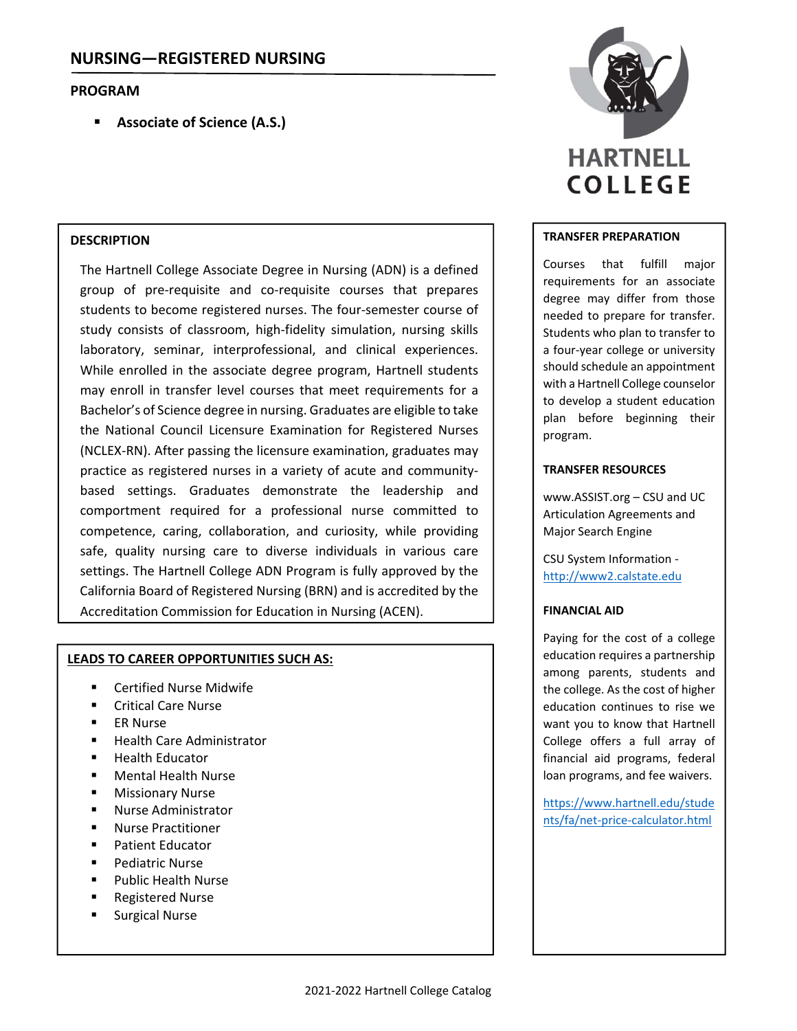# **PROGRAM**

**Associate of Science (A.S.)**

### **DESCRIPTION**

The Hartnell College Associate Degree in Nursing (ADN) is a defined group of pre-requisite and co-requisite courses that prepares students to become registered nurses. The four‐semester course of study consists of classroom, high‐fidelity simulation, nursing skills laboratory, seminar, interprofessional, and clinical experiences. While enrolled in the associate degree program, Hartnell students may enroll in transfer level courses that meet requirements for a Bachelor's of Science degree in nursing. Graduates are eligible to take the National Council Licensure Examination for Registered Nurses (NCLEX‐RN). After passing the licensure examination, graduates may practice as registered nurses in a variety of acute and community‐ based settings. Graduates demonstrate the leadership and comportment required for a professional nurse committed to competence, caring, collaboration, and curiosity, while providing safe, quality nursing care to diverse individuals in various care settings. The Hartnell College ADN Program is fully approved by the California Board of Registered Nursing (BRN) and is accredited by the Accreditation Commission for Education in Nursing (ACEN).

#### **LEADS TO CAREER OPPORTUNITIES SUCH AS:**

- Certified Nurse Midwife
- Critical Care Nurse
- ER Nurse
- Health Care Administrator
- Health Educator
- Mental Health Nurse
- **Nissionary Nurse**
- Nurse Administrator
- Nurse Practitioner
- Patient Educator
- Pediatric Nurse
- Public Health Nurse
- Registered Nurse
- Surgical Nurse



#### **TRANSFER PREPARATION**

Courses that fulfill major requirements for an associate degree may differ from those needed to prepare for transfer. Students who plan to transfer to a four‐year college or university should schedule an appointment with a Hartnell College counselor to develop a student education plan before beginning their program.

#### **TRANSFER RESOURCES**

www.ASSIST.org – CSU and UC Articulation Agreements and Major Search Engine

CSU System Information ‐ http://www2.calstate.edu

#### **FINANCIAL AID**

Paying for the cost of a college education requires a partnership among parents, students and the college. As the cost of higher education continues to rise we want you to know that Hartnell College offers a full array of financial aid programs, federal loan programs, and fee waivers.

https://www.hartnell.edu/stude nts/fa/net‐price‐calculator.html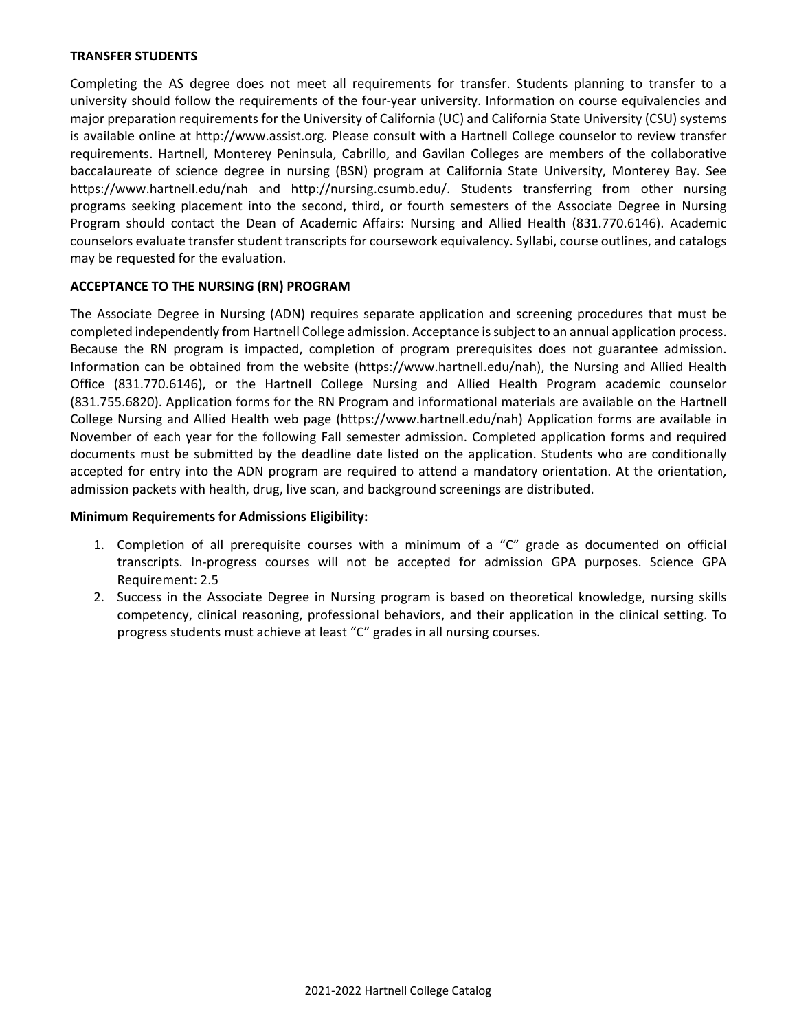### **TRANSFER STUDENTS**

Completing the AS degree does not meet all requirements for transfer. Students planning to transfer to a university should follow the requirements of the four‐year university. Information on course equivalencies and major preparation requirements for the University of California (UC) and California State University (CSU) systems is available online at http://www.assist.org. Please consult with a Hartnell College counselor to review transfer requirements. Hartnell, Monterey Peninsula, Cabrillo, and Gavilan Colleges are members of the collaborative baccalaureate of science degree in nursing (BSN) program at California State University, Monterey Bay. See https://www.hartnell.edu/nah and http://nursing.csumb.edu/. Students transferring from other nursing programs seeking placement into the second, third, or fourth semesters of the Associate Degree in Nursing Program should contact the Dean of Academic Affairs: Nursing and Allied Health (831.770.6146). Academic counselors evaluate transfer student transcripts for coursework equivalency. Syllabi, course outlines, and catalogs may be requested for the evaluation.

# **ACCEPTANCE TO THE NURSING (RN) PROGRAM**

The Associate Degree in Nursing (ADN) requires separate application and screening procedures that must be completed independently from Hartnell College admission. Acceptance issubject to an annual application process. Because the RN program is impacted, completion of program prerequisites does not guarantee admission. Information can be obtained from the website (https://www.hartnell.edu/nah), the Nursing and Allied Health Office (831.770.6146), or the Hartnell College Nursing and Allied Health Program academic counselor (831.755.6820). Application forms for the RN Program and informational materials are available on the Hartnell College Nursing and Allied Health web page (https://www.hartnell.edu/nah) Application forms are available in November of each year for the following Fall semester admission. Completed application forms and required documents must be submitted by the deadline date listed on the application. Students who are conditionally accepted for entry into the ADN program are required to attend a mandatory orientation. At the orientation, admission packets with health, drug, live scan, and background screenings are distributed.

### **Minimum Requirements for Admissions Eligibility:**

- 1. Completion of all prerequisite courses with a minimum of a "C" grade as documented on official transcripts. In‐progress courses will not be accepted for admission GPA purposes. Science GPA Requirement: 2.5
- 2. Success in the Associate Degree in Nursing program is based on theoretical knowledge, nursing skills competency, clinical reasoning, professional behaviors, and their application in the clinical setting. To progress students must achieve at least "C" grades in all nursing courses.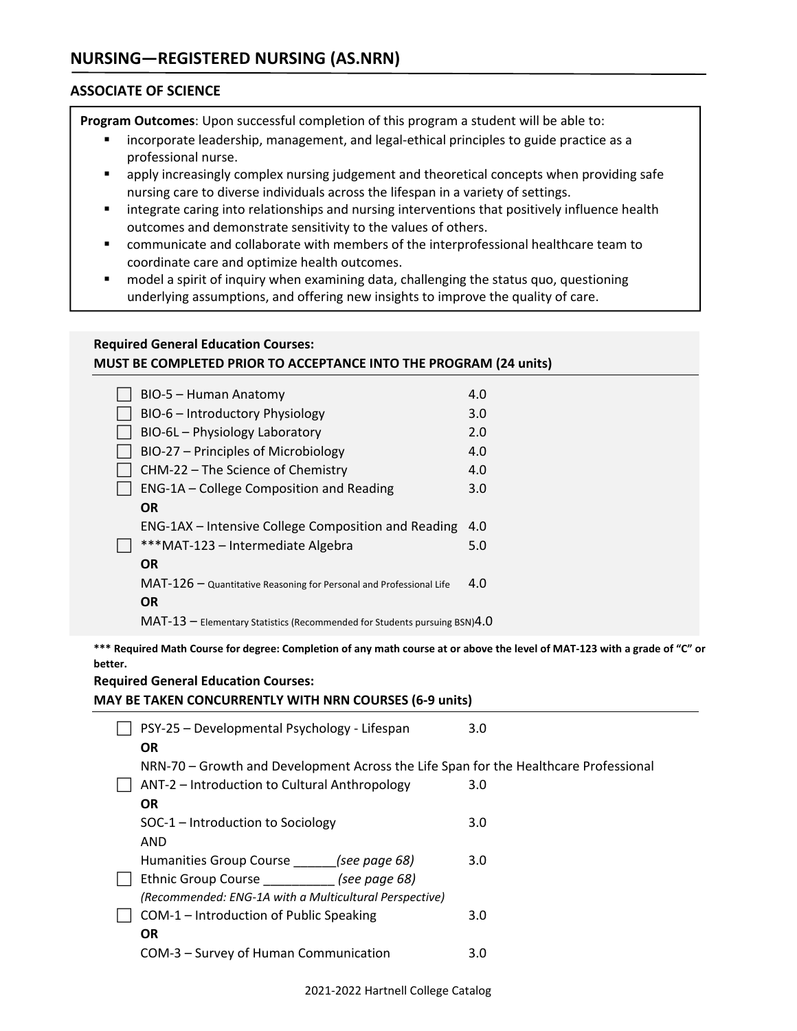# **ASSOCIATE OF SCIENCE**

**Program Outcomes**: Upon successful completion of this program a student will be able to:

- incorporate leadership, management, and legal-ethical principles to guide practice as a professional nurse.
- **•** apply increasingly complex nursing judgement and theoretical concepts when providing safe nursing care to diverse individuals across the lifespan in a variety of settings.
- **Integrate caring into relationships and nursing interventions that positively influence health** outcomes and demonstrate sensitivity to the values of others.
- communicate and collaborate with members of the interprofessional healthcare team to coordinate care and optimize health outcomes.
- model a spirit of inquiry when examining data, challenging the status quo, questioning underlying assumptions, and offering new insights to improve the quality of care.

# **Required General Education Courses: MUST BE COMPLETED PRIOR TO ACCEPTANCE INTO THE PROGRAM (24 units)**

| BIO-5 - Human Anatomy                                                          | 4.0              |
|--------------------------------------------------------------------------------|------------------|
| BIO-6 - Introductory Physiology                                                | 3.0 <sub>2</sub> |
| BIO-6L - Physiology Laboratory                                                 | 2.0              |
| BIO-27 - Principles of Microbiology                                            | 4.0              |
| CHM-22 – The Science of Chemistry                                              | 4.0              |
| ENG-1A - College Composition and Reading                                       | 3.0              |
| <b>OR</b>                                                                      |                  |
| ENG-1AX – Intensive College Composition and Reading                            | 4.0              |
| ***MAT-123 - Intermediate Algebra                                              | 5.0              |
| <b>OR</b>                                                                      |                  |
| MAT-126 - Quantitative Reasoning for Personal and Professional Life            | 4.0              |
| <b>OR</b>                                                                      |                  |
| $MAT-13$ – Elementary Statistics (Recommended for Students pursuing BSN) $4.0$ |                  |
|                                                                                |                  |

\*\*\* Required Math Course for degree: Completion of any math course at or above the level of MAT-123 with a grade of "C" or **be** 

| *** Required Math Course for degree: Completion of any math course at or above the level of MAT-123 with a grade of "C<br>better.<br><b>Required General Education Courses:</b><br><b>MAY BE TAKEN CONCURRENTLY WITH NRN COURSES (6-9 units)</b> |     |  |
|--------------------------------------------------------------------------------------------------------------------------------------------------------------------------------------------------------------------------------------------------|-----|--|
| PSY-25 – Developmental Psychology - Lifespan<br><b>OR</b>                                                                                                                                                                                        | 3.0 |  |
| NRN-70 - Growth and Development Across the Life Span for the Healthcare Professional                                                                                                                                                             |     |  |
| ANT-2 - Introduction to Cultural Anthropology                                                                                                                                                                                                    | 3.0 |  |
| <b>OR</b>                                                                                                                                                                                                                                        |     |  |
| SOC-1 – Introduction to Sociology                                                                                                                                                                                                                | 3.0 |  |
| AND                                                                                                                                                                                                                                              |     |  |
| Humanities Group Course ______(see page 68)                                                                                                                                                                                                      | 3.0 |  |
| Ethnic Group Course (see page 68)                                                                                                                                                                                                                |     |  |
| (Recommended: ENG-1A with a Multicultural Perspective)                                                                                                                                                                                           |     |  |
| COM-1 - Introduction of Public Speaking                                                                                                                                                                                                          | 3.0 |  |
| <b>OR</b>                                                                                                                                                                                                                                        |     |  |
| COM-3 - Survey of Human Communication                                                                                                                                                                                                            | 3.0 |  |
| 2021-2022 Hartnell College Catalog                                                                                                                                                                                                               |     |  |